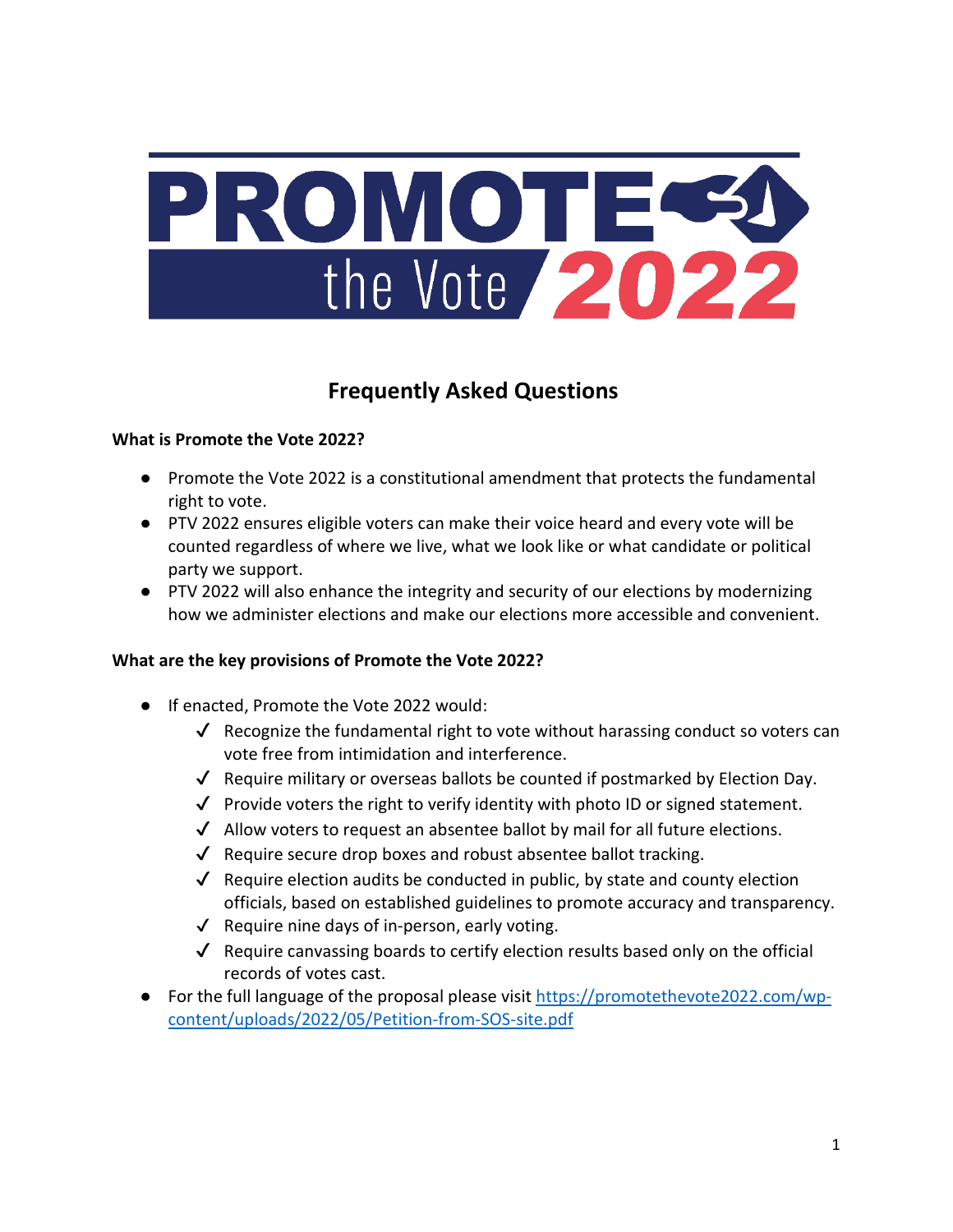

# **Frequently Asked Questions**

# **What is Promote the Vote 2022?**

- Promote the Vote 2022 is a constitutional amendment that protects the fundamental right to vote.
- PTV 2022 ensures eligible voters can make their voice heard and every vote will be counted regardless of where we live, what we look like or what candidate or political party we support.
- PTV 2022 will also enhance the integrity and security of our elections by modernizing how we administer elections and make our elections more accessible and convenient.

# **What are the key provisions of Promote the Vote 2022?**

- If enacted, Promote the Vote 2022 would:
	- $\checkmark$  Recognize the fundamental right to vote without harassing conduct so voters can vote free from intimidation and interference.
	- $\checkmark$  Require military or overseas ballots be counted if postmarked by Election Day.
	- $\checkmark$  Provide voters the right to verify identity with photo ID or signed statement.
	- ✔ Allow voters to request an absentee ballot by mail for all future elections.
	- $\sqrt{\phantom{a}}$  Require secure drop boxes and robust absentee ballot tracking.
	- ✔ Require election audits be conducted in public, by state and county election officials, based on established guidelines to promote accuracy and transparency.
	- $\sqrt{\phantom{a}}$  Require nine days of in-person, early voting.
	- $\checkmark$  Require canvassing boards to certify election results based only on the official records of votes cast.
- For the full language of the proposal please visit [https://promotethevote2022.com/wp](https://promotethevote2022.com/wp-content/uploads/2022/05/Petition-from-SOS-site.pdf)[content/uploads/2022/05/Petition-from-SOS-site.pdf](https://promotethevote2022.com/wp-content/uploads/2022/05/Petition-from-SOS-site.pdf)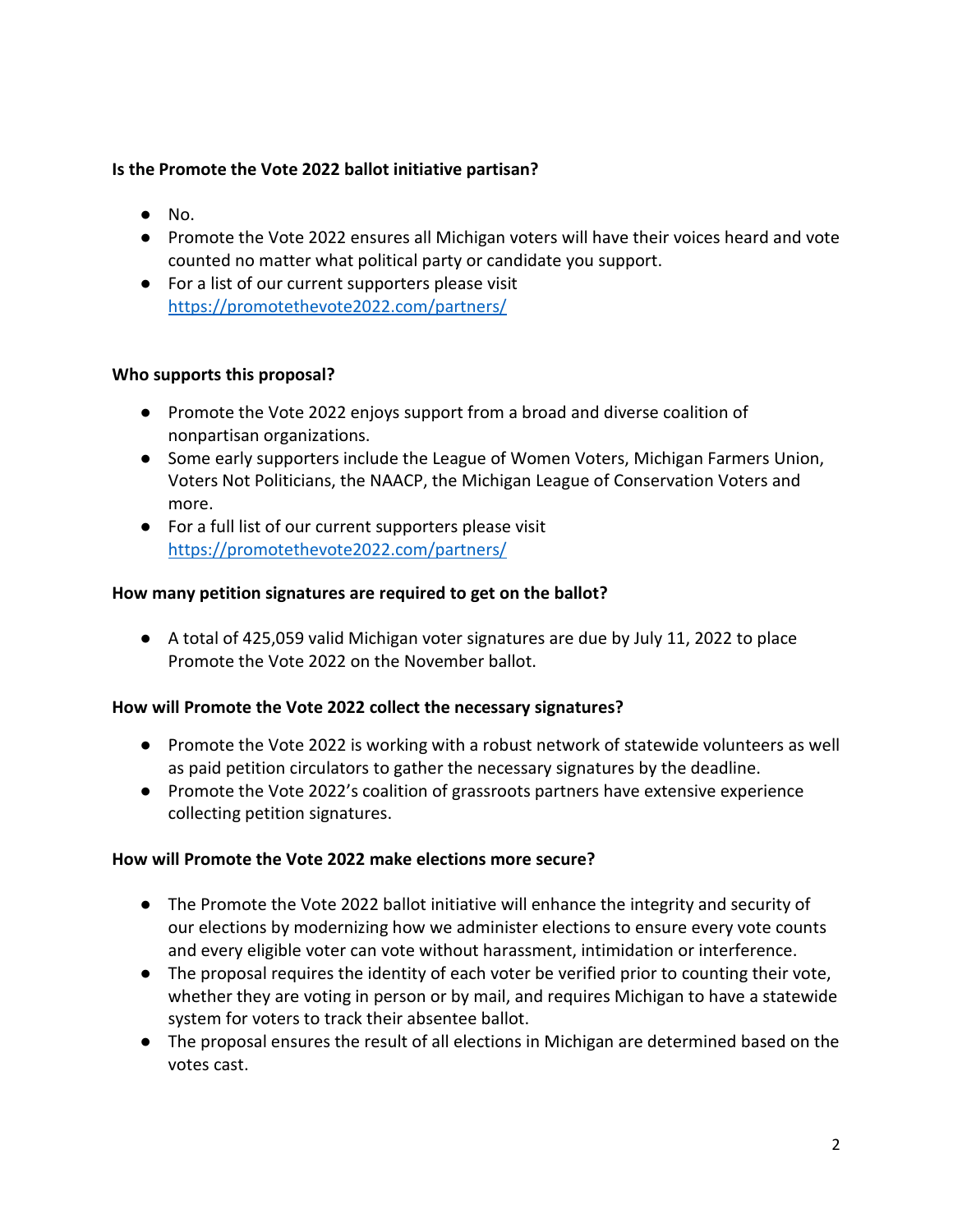#### **Is the Promote the Vote 2022 ballot initiative partisan?**

- $\bullet$  No.
- Promote the Vote 2022 ensures all Michigan voters will have their voices heard and vote counted no matter what political party or candidate you support.
- For a list of our current supporters please visit <https://promotethevote2022.com/partners/>

#### **Who supports this proposal?**

- Promote the Vote 2022 enjoys support from a broad and diverse coalition of nonpartisan organizations.
- Some early supporters include the League of Women Voters, Michigan Farmers Union, Voters Not Politicians, the NAACP, the Michigan League of Conservation Voters and more.
- For a full list of our current supporters please visit <https://promotethevote2022.com/partners/>

#### **How many petition signatures are required to get on the ballot?**

● A total of 425,059 valid Michigan voter signatures are due by July 11, 2022 to place Promote the Vote 2022 on the November ballot.

# **How will Promote the Vote 2022 collect the necessary signatures?**

- Promote the Vote 2022 is working with a robust network of statewide volunteers as well as paid petition circulators to gather the necessary signatures by the deadline.
- Promote the Vote 2022's coalition of grassroots partners have extensive experience collecting petition signatures.

#### **How will Promote the Vote 2022 make elections more secure?**

- The Promote the Vote 2022 ballot initiative will enhance the integrity and security of our elections by modernizing how we administer elections to ensure every vote counts and every eligible voter can vote without harassment, intimidation or interference.
- The proposal requires the identity of each voter be verified prior to counting their vote, whether they are voting in person or by mail, and requires Michigan to have a statewide system for voters to track their absentee ballot.
- The proposal ensures the result of all elections in Michigan are determined based on the votes cast.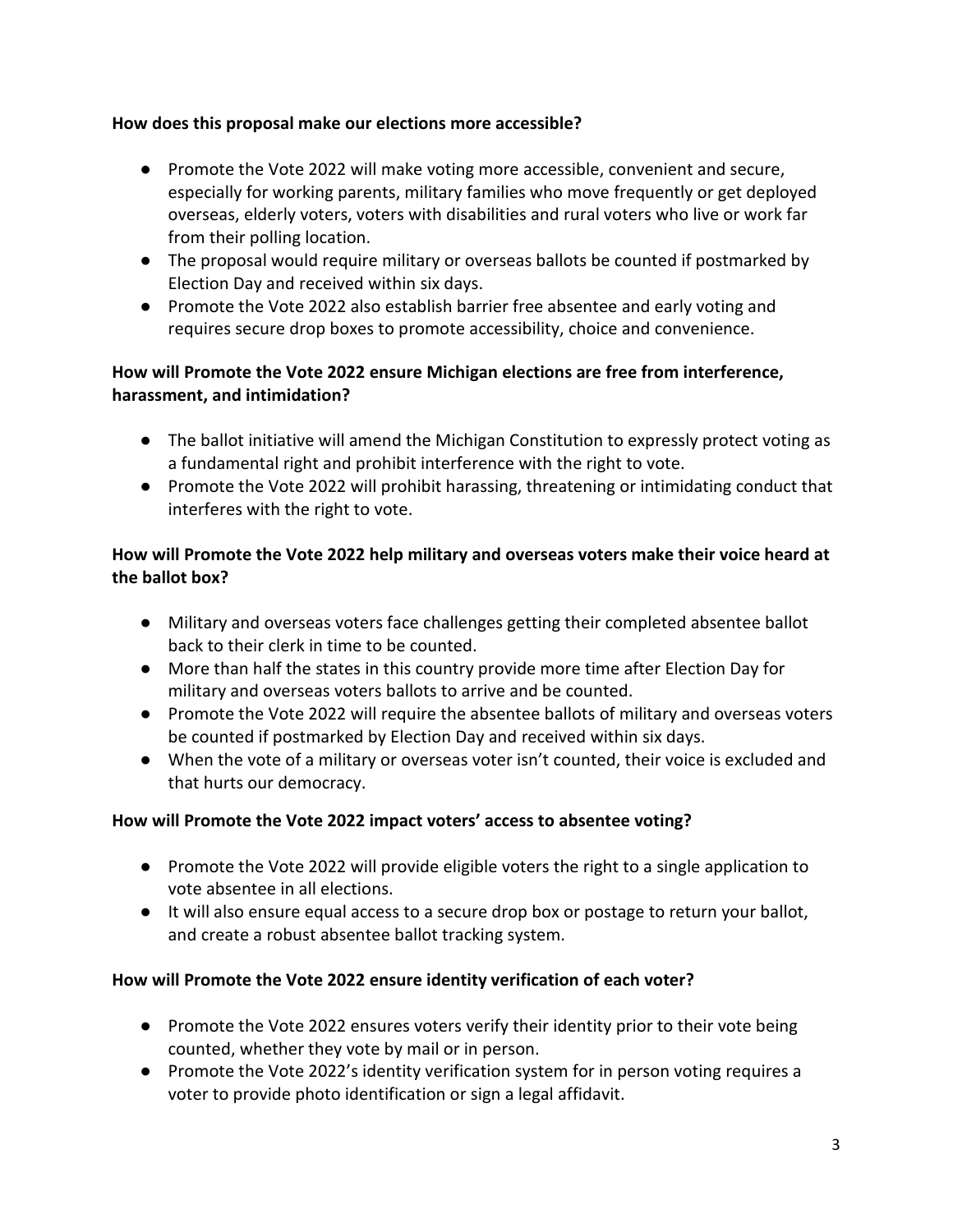# **How does this proposal make our elections more accessible?**

- Promote the Vote 2022 will make voting more accessible, convenient and secure, especially for working parents, military families who move frequently or get deployed overseas, elderly voters, voters with disabilities and rural voters who live or work far from their polling location.
- The proposal would require military or overseas ballots be counted if postmarked by Election Day and received within six days.
- Promote the Vote 2022 also establish barrier free absentee and early voting and requires secure drop boxes to promote accessibility, choice and convenience.

# **How will Promote the Vote 2022 ensure Michigan elections are free from interference, harassment, and intimidation?**

- The ballot initiative will amend the Michigan Constitution to expressly protect voting as a fundamental right and prohibit interference with the right to vote.
- Promote the Vote 2022 will prohibit harassing, threatening or intimidating conduct that interferes with the right to vote.

# **How will Promote the Vote 2022 help military and overseas voters make their voice heard at the ballot box?**

- Military and overseas voters face challenges getting their completed absentee ballot back to their clerk in time to be counted.
- More than half the states in this country provide more time after Election Day for military and overseas voters ballots to arrive and be counted.
- Promote the Vote 2022 will require the absentee ballots of military and overseas voters be counted if postmarked by Election Day and received within six days.
- When the vote of a military or overseas voter isn't counted, their voice is excluded and that hurts our democracy.

# **How will Promote the Vote 2022 impact voters' access to absentee voting?**

- Promote the Vote 2022 will provide eligible voters the right to a single application to vote absentee in all elections.
- It will also ensure equal access to a secure drop box or postage to return your ballot, and create a robust absentee ballot tracking system.

# **How will Promote the Vote 2022 ensure identity verification of each voter?**

- Promote the Vote 2022 ensures voters verify their identity prior to their vote being counted, whether they vote by mail or in person.
- Promote the Vote 2022's identity verification system for in person voting requires a voter to provide photo identification or sign a legal affidavit.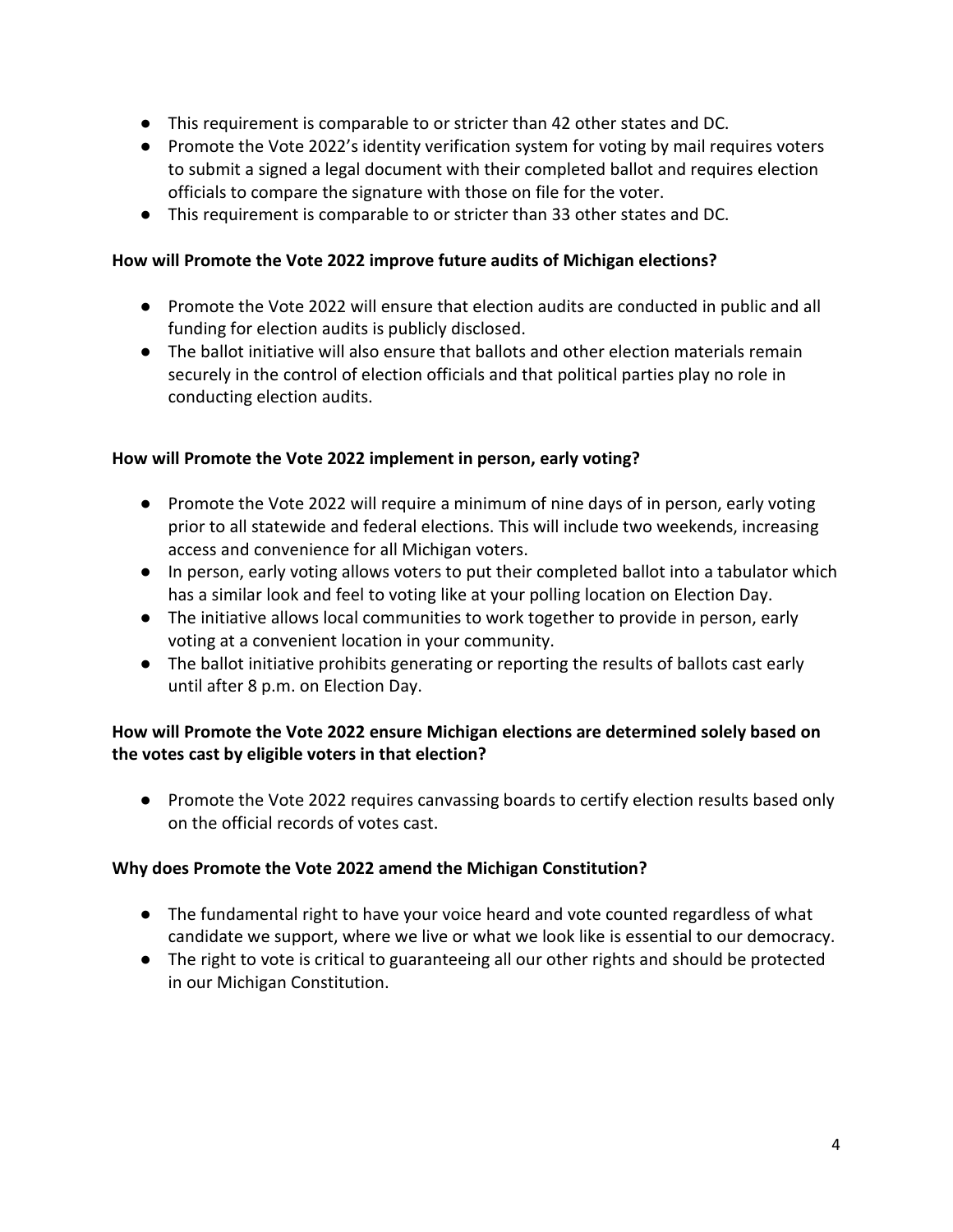- This requirement is comparable to or stricter than 42 other states and DC.
- Promote the Vote 2022's identity verification system for voting by mail requires voters to submit a signed a legal document with their completed ballot and requires election officials to compare the signature with those on file for the voter.
- This requirement is comparable to or stricter than 33 other states and DC.

### **How will Promote the Vote 2022 improve future audits of Michigan elections?**

- Promote the Vote 2022 will ensure that election audits are conducted in public and all funding for election audits is publicly disclosed.
- The ballot initiative will also ensure that ballots and other election materials remain securely in the control of election officials and that political parties play no role in conducting election audits.

# **How will Promote the Vote 2022 implement in person, early voting?**

- Promote the Vote 2022 will require a minimum of nine days of in person, early voting prior to all statewide and federal elections. This will include two weekends, increasing access and convenience for all Michigan voters.
- In person, early voting allows voters to put their completed ballot into a tabulator which has a similar look and feel to voting like at your polling location on Election Day.
- The initiative allows local communities to work together to provide in person, early voting at a convenient location in your community.
- The ballot initiative prohibits generating or reporting the results of ballots cast early until after 8 p.m. on Election Day.

# **How will Promote the Vote 2022 ensure Michigan elections are determined solely based on the votes cast by eligible voters in that election?**

● Promote the Vote 2022 requires canvassing boards to certify election results based only on the official records of votes cast.

# **Why does Promote the Vote 2022 amend the Michigan Constitution?**

- The fundamental right to have your voice heard and vote counted regardless of what candidate we support, where we live or what we look like is essential to our democracy.
- The right to vote is critical to guaranteeing all our other rights and should be protected in our Michigan Constitution.